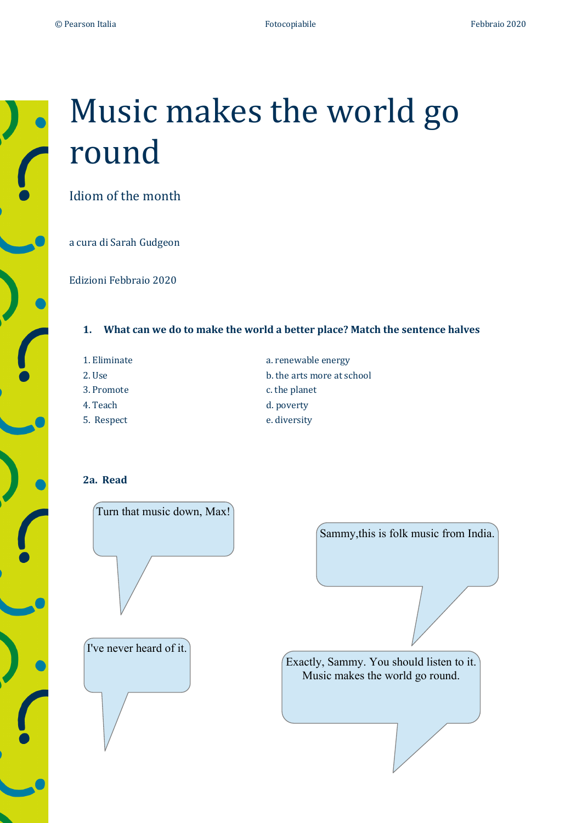# Music makes the world go round

Idiom of the month

a cura di Sarah Gudgeon

Edizioni Febbraio 2020

### **1.** What can we do to make the world a better place? Match the sentence halves

- 1. Eliminate a. renewable energy 2. Use b. the arts more at school 3. Promote c. the planet 4. Teach d. poverty
	-
- 
- 5. Respect e. diversity

## **2a. Read**

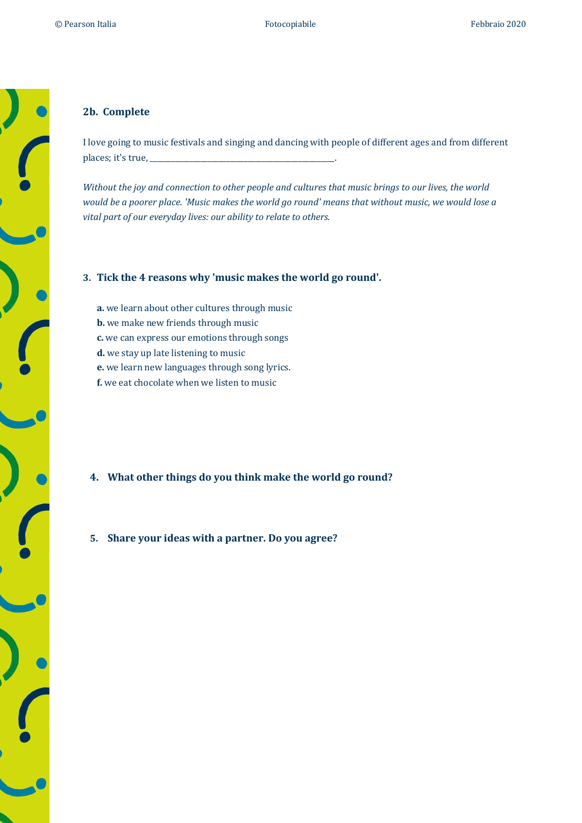#### **2b. Complete**

I love going to music festivals and singing and dancing with people of different ages and from different places; it's true, \_\_\_\_\_\_\_\_\_\_\_\_\_\_\_\_\_\_\_\_\_\_\_\_\_\_\_\_\_\_\_\_\_\_\_\_\_\_\_\_\_\_\_\_\_\_\_\_\_\_\_.

*Without the joy and connection to other people and cultures that music brings to our lives, the world would* be a poorer place. 'Music makes the world go round' means that without music, we would lose a vital part of our everyday lives: our ability to relate to others.

#### **3.** Tick the 4 reasons why 'music makes the world go round'.

- **a.** we learn about other cultures through music
- **b.** we make new friends through music
- **c.** we can express our emotions through songs
- **d.** we stay up late listening to music
- **e.** we learn new languages through song lyrics.
- **f.** we eat chocolate when we listen to music

- **4.** What other things do you think make the world go round?
- 5. Share your ideas with a partner. Do you agree?